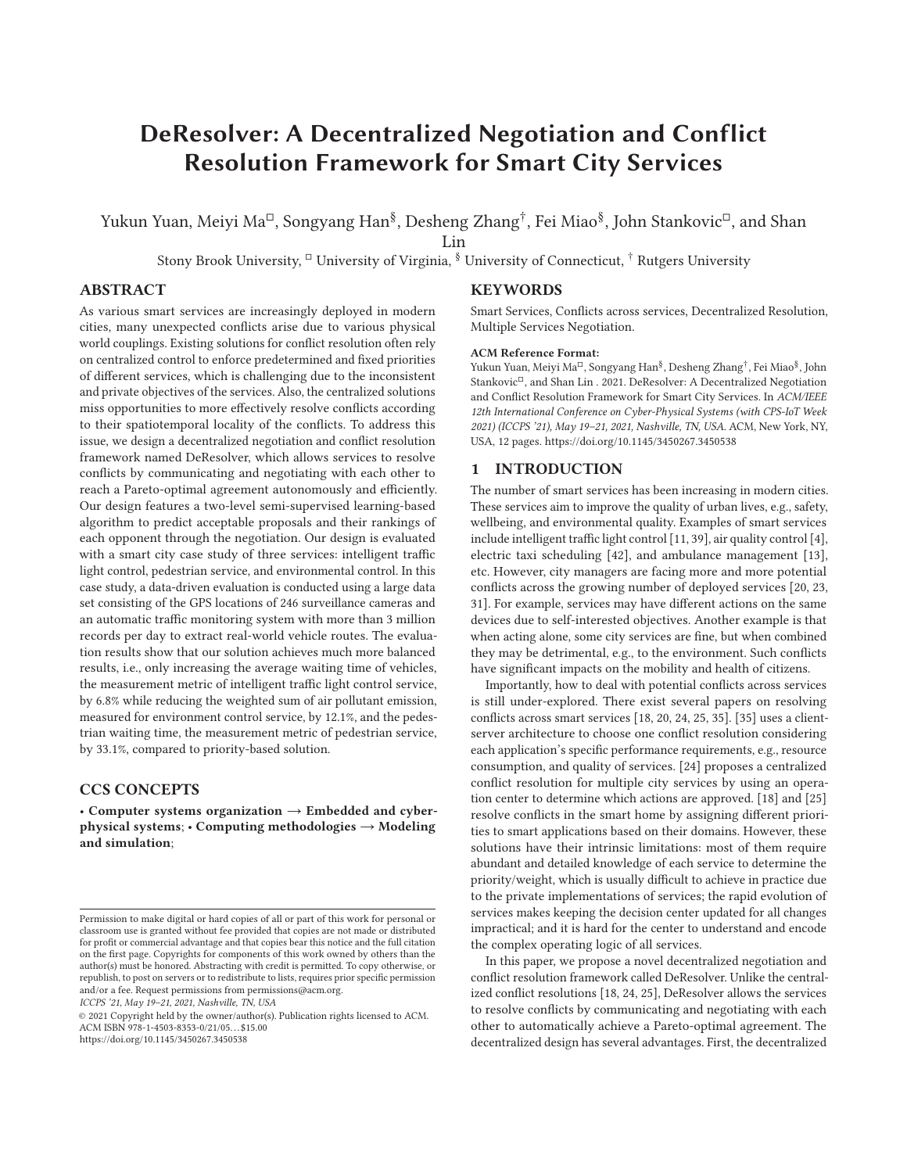# **DeResolver: A Decentralized Negotiation and Conflict Resolution Framework for Smart City Services**

Yukun Yuan, Meiyi Ma<sup>□</sup>, Songyang Han<sup>§</sup>, Desheng Zhang<sup>†</sup>, Fei Miao<sup>§</sup>, John Stankovic<sup>□</sup>, and Shan

Lin

Stony Brook University, <sup>□</sup> University of Virginia, <sup>§</sup> University of Connecticut, † Rutgers University

# **ABSTRACT**

As various smart services are increasingly deployed in modern cities, many unexpected conflicts arise due to various physical world couplings. Existing solutions for conflict resolution often rely on centralized control to enforce predetermined and fixed priorities of different services, which is challenging due to the inconsistent and private objectives of the services. Also, the centralized solutions miss opportunities to more effectively resolve conflicts according to their spatiotemporal locality of the conflicts. To address this issue, we design a decentralized negotiation and conflict resolution framework named DeResolver, which allows services to resolve conflicts by communicating and negotiating with each other to reach a Pareto-optimal agreement autonomously and efficiently. Our design features a two-level semi-supervised learning-based algorithm to predict acceptable proposals and their rankings of each opponent through the negotiation. Our design is evaluated with a smart city case study of three services: intelligent traffic light control, pedestrian service, and environmental control. In this case study, a data-driven evaluation is conducted using a large data set consisting of the GPS locations of 246 surveillance cameras and an automatic traffic monitoring system with more than 3 million records per day to extract real-world vehicle routes. The evaluation results show that our solution achieves much more balanced results, i.e., only increasing the average waiting time of vehicles, the measurement metric of intelligent traffic light control service, by 6.8% while reducing the weighted sum of air pollutant emission, measured for environment control service, by 12.1%, and the pedestrian waiting time, the measurement metric of pedestrian service, by 33.1%, compared to priority-based solution.

# **CCS CONCEPTS**

• **Computer systems organization** → **Embedded and cyberphysical systems**; • **Computing methodologies** → **Modeling and simulation**;

*ICCPS '21, May 19–21, 2021, Nashville, TN, USA*

© 2021 Copyright held by the owner/author(s). Publication rights licensed to ACM. ACM ISBN 978-1-4503-8353-0/21/05. . . \$15.00 https://doi.org/10.1145/3450267.3450538

## **KEYWORDS**

Smart Services, Conflicts across services, Decentralized Resolution, Multiple Services Negotiation.

#### **ACM Reference Format:**

Yukun Yuan, Meiyi Ma<sup>□</sup>, Songyang Han<sup>§</sup>, Desheng Zhang<sup>†</sup>, Fei Miao<sup>§</sup>, John Stankovic<sup>I</sup>, and Shan Lin . 2021. DeResolver: A Decentralized Negotiation and Conflict Resolution Framework for Smart City Services. In *ACM/IEEE 12th International Conference on Cyber-Physical Systems (with CPS-IoT Week 2021) (ICCPS '21), May 19–21, 2021, Nashville, TN, USA.* ACM, New York, NY, USA, 12 pages. https://doi.org/10.1145/3450267.3450538

#### **1 INTRODUCTION**

The number of smart services has been increasing in modern cities. These services aim to improve the quality of urban lives, e.g., safety, wellbeing, and environmental quality. Examples of smart services include intelligent traffic light control [11, 39], air quality control [4], electric taxi scheduling [42], and ambulance management [13], etc. However, city managers are facing more and more potential conflicts across the growing number of deployed services [20, 23, 31]. For example, services may have different actions on the same devices due to self-interested objectives. Another example is that when acting alone, some city services are fine, but when combined they may be detrimental, e.g., to the environment. Such conflicts have significant impacts on the mobility and health of citizens.

Importantly, how to deal with potential conflicts across services is still under-explored. There exist several papers on resolving conflicts across smart services [18, 20, 24, 25, 35]. [35] uses a clientserver architecture to choose one conflict resolution considering each application's specific performance requirements, e.g., resource consumption, and quality of services. [24] proposes a centralized conflict resolution for multiple city services by using an operation center to determine which actions are approved. [18] and [25] resolve conflicts in the smart home by assigning different priorities to smart applications based on their domains. However, these solutions have their intrinsic limitations: most of them require abundant and detailed knowledge of each service to determine the priority/weight, which is usually difficult to achieve in practice due to the private implementations of services; the rapid evolution of services makes keeping the decision center updated for all changes impractical; and it is hard for the center to understand and encode the complex operating logic of all services.

In this paper, we propose a novel decentralized negotiation and conflict resolution framework called DeResolver. Unlike the centralized conflict resolutions [18, 24, 25], DeResolver allows the services to resolve conflicts by communicating and negotiating with each other to automatically achieve a Pareto-optimal agreement. The decentralized design has several advantages. First, the decentralized

Permission to make digital or hard copies of all or part of this work for personal or classroom use is granted without fee provided that copies are not made or distributed for profit or commercial advantage and that copies bear this notice and the full citation on the first page. Copyrights for components of this work owned by others than the author(s) must be honored. Abstracting with credit is permitted. To copy otherwise, or republish, to post on servers or to redistribute to lists, requires prior specific permission and/or a fee. Request permissions from permissions@acm.org.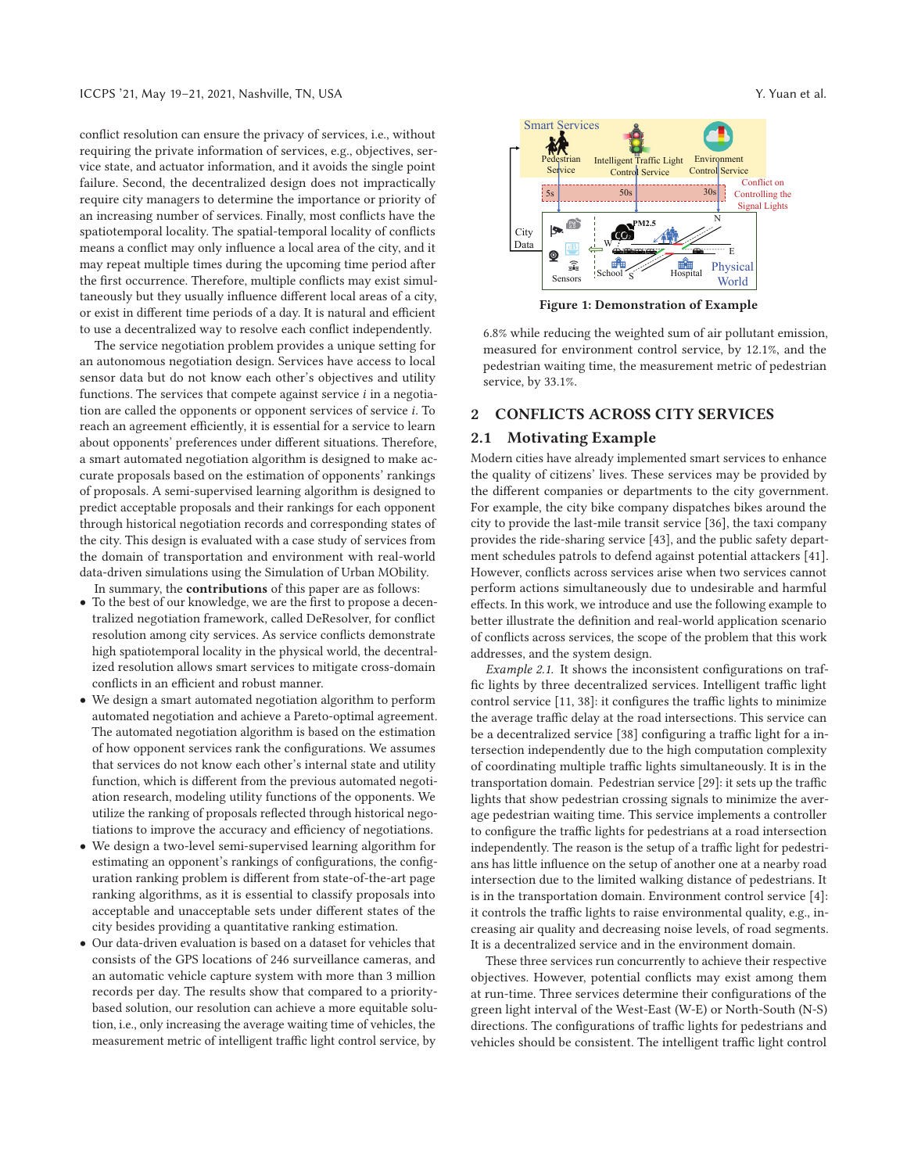conflict resolution can ensure the privacy of services, i.e., without requiring the private information of services, e.g., objectives, service state, and actuator information, and it avoids the single point failure. Second, the decentralized design does not impractically require city managers to determine the importance or priority of an increasing number of services. Finally, most conflicts have the spatiotemporal locality. The spatial-temporal locality of conflicts means a conflict may only influence a local area of the city, and it may repeat multiple times during the upcoming time period after the first occurrence. Therefore, multiple conflicts may exist simultaneously but they usually influence different local areas of a city, or exist in different time periods of a day. It is natural and efficient to use a decentralized way to resolve each conflict independently.

The service negotiation problem provides a unique setting for an autonomous negotiation design. Services have access to local sensor data but do not know each other's objectives and utility functions. The services that compete against service  $i$  in a negotiation are called the opponents or opponent services of service  $i$ . To reach an agreement efficiently, it is essential for a service to learn about opponents' preferences under different situations. Therefore, a smart automated negotiation algorithm is designed to make accurate proposals based on the estimation of opponents' rankings of proposals. A semi-supervised learning algorithm is designed to predict acceptable proposals and their rankings for each opponent through historical negotiation records and corresponding states of the city. This design is evaluated with a case study of services from the domain of transportation and environment with real-world data-driven simulations using the Simulation of Urban MObility. In summary, the **contributions** of this paper are as follows:

- To the best of our knowledge, we are the first to propose a decentralized negotiation framework, called DeResolver, for conflict resolution among city services. As service conflicts demonstrate high spatiotemporal locality in the physical world, the decentralized resolution allows smart services to mitigate cross-domain conflicts in an efficient and robust manner.
- We design a smart automated negotiation algorithm to perform automated negotiation and achieve a Pareto-optimal agreement. The automated negotiation algorithm is based on the estimation of how opponent services rank the configurations. We assumes that services do not know each other's internal state and utility function, which is different from the previous automated negotiation research, modeling utility functions of the opponents. We utilize the ranking of proposals reflected through historical negotiations to improve the accuracy and efficiency of negotiations.
- We design a two-level semi-supervised learning algorithm for estimating an opponent's rankings of configurations, the configuration ranking problem is different from state-of-the-art page ranking algorithms, as it is essential to classify proposals into acceptable and unacceptable sets under different states of the city besides providing a quantitative ranking estimation.
- Our data-driven evaluation is based on a dataset for vehicles that consists of the GPS locations of 246 surveillance cameras, and an automatic vehicle capture system with more than 3 million records per day. The results show that compared to a prioritybased solution, our resolution can achieve a more equitable solution, i.e., only increasing the average waiting time of vehicles, the measurement metric of intelligent traffic light control service, by



**Figure 1: Demonstration of Example**

6.8% while reducing the weighted sum of air pollutant emission, measured for environment control service, by 12.1%, and the pedestrian waiting time, the measurement metric of pedestrian service, by 33.1%.

# **2 CONFLICTS ACROSS CITY SERVICES**

## **2.1 Motivating Example**

Modern cities have already implemented smart services to enhance the quality of citizens' lives. These services may be provided by the different companies or departments to the city government. For example, the city bike company dispatches bikes around the city to provide the last-mile transit service [36], the taxi company provides the ride-sharing service [43], and the public safety department schedules patrols to defend against potential attackers [41]. However, conflicts across services arise when two services cannot perform actions simultaneously due to undesirable and harmful effects. In this work, we introduce and use the following example to better illustrate the definition and real-world application scenario of conflicts across services, the scope of the problem that this work addresses, and the system design.

*Example 2.1.* It shows the inconsistent configurations on traffic lights by three decentralized services. Intelligent traffic light control service [11, 38]: it configures the traffic lights to minimize the average traffic delay at the road intersections. This service can be a decentralized service [38] configuring a traffic light for a intersection independently due to the high computation complexity of coordinating multiple traffic lights simultaneously. It is in the transportation domain. Pedestrian service [29]: it sets up the traffic lights that show pedestrian crossing signals to minimize the average pedestrian waiting time. This service implements a controller to configure the traffic lights for pedestrians at a road intersection independently. The reason is the setup of a traffic light for pedestrians has little influence on the setup of another one at a nearby road intersection due to the limited walking distance of pedestrians. It is in the transportation domain. Environment control service [4]: it controls the traffic lights to raise environmental quality, e.g., increasing air quality and decreasing noise levels, of road segments. It is a decentralized service and in the environment domain.

These three services run concurrently to achieve their respective objectives. However, potential conflicts may exist among them at run-time. Three services determine their configurations of the green light interval of the West-East (W-E) or North-South (N-S) directions. The configurations of traffic lights for pedestrians and vehicles should be consistent. The intelligent traffic light control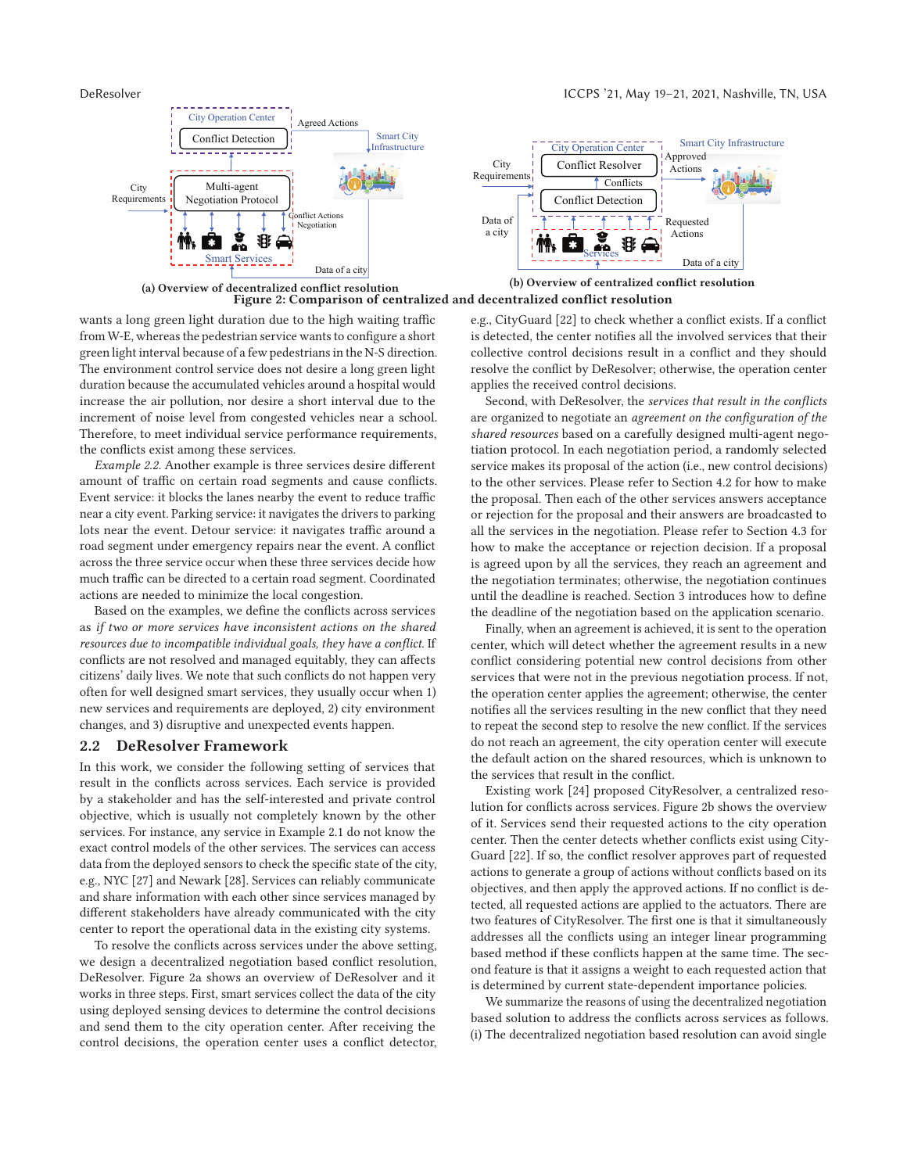

wants a long green light duration due to the high waiting traffic from W-E, whereas the pedestrian service wants to configure a short green light interval because of a few pedestrians in the N-S direction. The environment control service does not desire a long green light duration because the accumulated vehicles around a hospital would increase the air pollution, nor desire a short interval due to the increment of noise level from congested vehicles near a school. Therefore, to meet individual service performance requirements, the conflicts exist among these services.

*Example 2.2.* Another example is three services desire different amount of traffic on certain road segments and cause conflicts. Event service: it blocks the lanes nearby the event to reduce traffic near a city event. Parking service: it navigates the drivers to parking lots near the event. Detour service: it navigates traffic around a road segment under emergency repairs near the event. A conflict across the three service occur when these three services decide how much traffic can be directed to a certain road segment. Coordinated actions are needed to minimize the local congestion.

Based on the examples, we define the conflicts across services as *if two or more services have inconsistent actions on the shared resources due to incompatible individual goals, they have a conflict.* If conflicts are not resolved and managed equitably, they can affects citizens' daily lives. We note that such conflicts do not happen very often for well designed smart services, they usually occur when 1) new services and requirements are deployed, 2) city environment changes, and 3) disruptive and unexpected events happen.

#### **2.2 DeResolver Framework**

In this work, we consider the following setting of services that result in the conflicts across services. Each service is provided by a stakeholder and has the self-interested and private control objective, which is usually not completely known by the other services. For instance, any service in Example 2.1 do not know the exact control models of the other services. The services can access data from the deployed sensors to check the specific state of the city, e.g., NYC [27] and Newark [28]. Services can reliably communicate and share information with each other since services managed by different stakeholders have already communicated with the city center to report the operational data in the existing city systems.

To resolve the conflicts across services under the above setting, we design a decentralized negotiation based conflict resolution, DeResolver. Figure 2a shows an overview of DeResolver and it works in three steps. First, smart services collect the data of the city using deployed sensing devices to determine the control decisions and send them to the city operation center. After receiving the control decisions, the operation center uses a conflict detector, e.g., CityGuard [22] to check whether a conflict exists. If a conflict is detected, the center notifies all the involved services that their collective control decisions result in a conflict and they should resolve the conflict by DeResolver; otherwise, the operation center applies the received control decisions.

Second, with DeResolver, the *services that result in the conflicts* are organized to negotiate an *agreement on the configuration of the shared resources* based on a carefully designed multi-agent negotiation protocol. In each negotiation period, a randomly selected service makes its proposal of the action (i.e., new control decisions) to the other services. Please refer to Section 4.2 for how to make the proposal. Then each of the other services answers acceptance or rejection for the proposal and their answers are broadcasted to all the services in the negotiation. Please refer to Section 4.3 for how to make the acceptance or rejection decision. If a proposal is agreed upon by all the services, they reach an agreement and the negotiation terminates; otherwise, the negotiation continues until the deadline is reached. Section 3 introduces how to define the deadline of the negotiation based on the application scenario.

Finally, when an agreement is achieved, it is sent to the operation center, which will detect whether the agreement results in a new conflict considering potential new control decisions from other services that were not in the previous negotiation process. If not, the operation center applies the agreement; otherwise, the center notifies all the services resulting in the new conflict that they need to repeat the second step to resolve the new conflict. If the services do not reach an agreement, the city operation center will execute the default action on the shared resources, which is unknown to the services that result in the conflict.

Existing work [24] proposed CityResolver, a centralized resolution for conflicts across services. Figure 2b shows the overview of it. Services send their requested actions to the city operation center. Then the center detects whether conflicts exist using City-Guard [22]. If so, the conflict resolver approves part of requested actions to generate a group of actions without conflicts based on its objectives, and then apply the approved actions. If no conflict is detected, all requested actions are applied to the actuators. There are two features of CityResolver. The first one is that it simultaneously addresses all the conflicts using an integer linear programming based method if these conflicts happen at the same time. The second feature is that it assigns a weight to each requested action that is determined by current state-dependent importance policies.

We summarize the reasons of using the decentralized negotiation based solution to address the conflicts across services as follows. (i) The decentralized negotiation based resolution can avoid single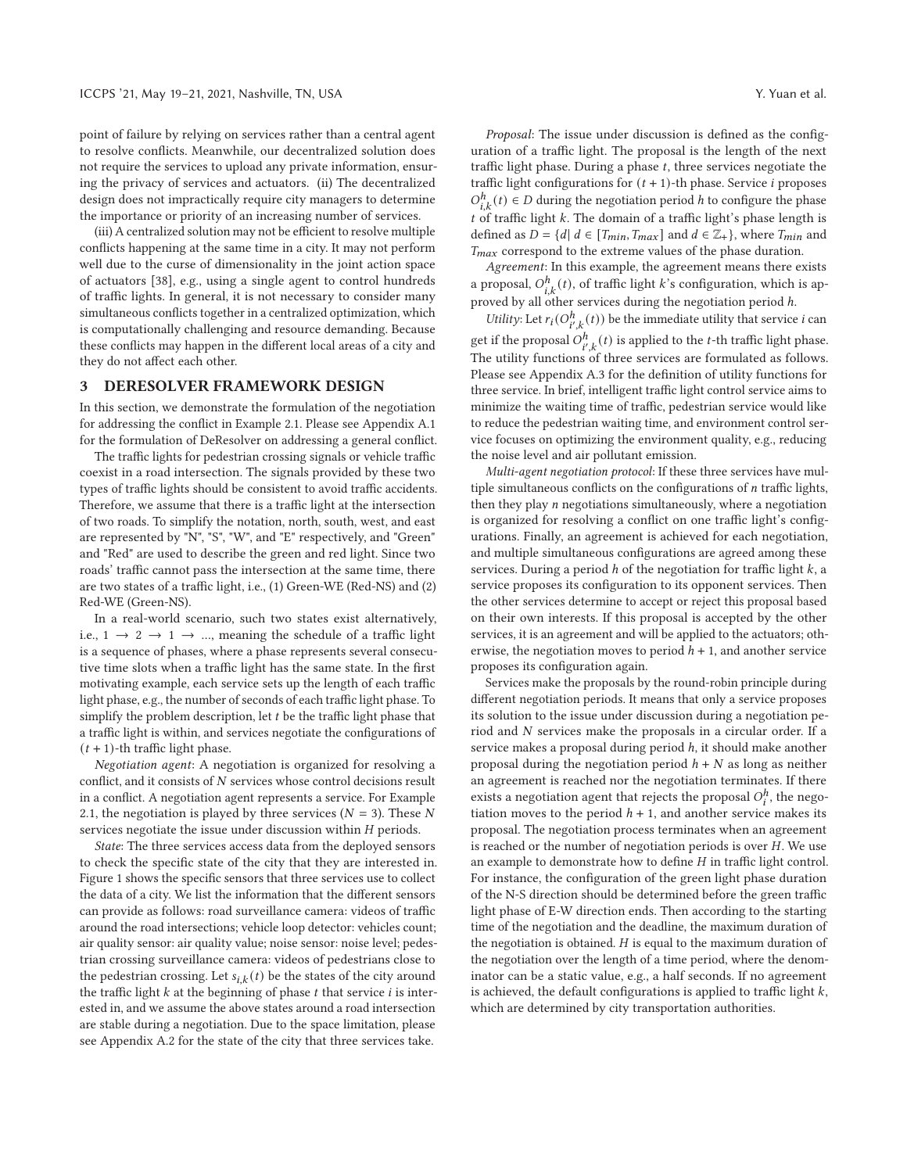point of failure by relying on services rather than a central agent to resolve conflicts. Meanwhile, our decentralized solution does not require the services to upload any private information, ensuring the privacy of services and actuators. (ii) The decentralized design does not impractically require city managers to determine the importance or priority of an increasing number of services.

(iii) A centralized solution may not be efficient to resolve multiple conflicts happening at the same time in a city. It may not perform well due to the curse of dimensionality in the joint action space of actuators [38], e.g., using a single agent to control hundreds of traffic lights. In general, it is not necessary to consider many simultaneous conflicts together in a centralized optimization, which is computationally challenging and resource demanding. Because these conflicts may happen in the different local areas of a city and they do not affect each other.

#### **3 DERESOLVER FRAMEWORK DESIGN**

In this section, we demonstrate the formulation of the negotiation for addressing the conflict in Example 2.1. Please see Appendix A.1 for the formulation of DeResolver on addressing a general conflict.

The traffic lights for pedestrian crossing signals or vehicle traffic coexist in a road intersection. The signals provided by these two types of traffic lights should be consistent to avoid traffic accidents. Therefore, we assume that there is a traffic light at the intersection of two roads. To simplify the notation, north, south, west, and east are represented by "N", "S", "W", and "E" respectively, and "Green" and "Red" are used to describe the green and red light. Since two roads' traffic cannot pass the intersection at the same time, there are two states of a traffic light, i.e., (1) Green-WE (Red-NS) and (2) Red-WE (Green-NS).

In a real-world scenario, such two states exist alternatively, i.e.,  $1 \rightarrow 2 \rightarrow 1 \rightarrow ...$ , meaning the schedule of a traffic light is a sequence of phases, where a phase represents several consecutive time slots when a traffic light has the same state. In the first motivating example, each service sets up the length of each traffic light phase, e.g., the number of seconds of each traffic light phase. To simplify the problem description, let  $t$  be the traffic light phase that a traffic light is within, and services negotiate the configurations of  $(t + 1)$ -th traffic light phase.

*Negotiation agent*: A negotiation is organized for resolving a conflict, and it consists of  $N$  services whose control decisions result in a conflict. A negotiation agent represents a service. For Example 2.1, the negotiation is played by three services  $(N = 3)$ . These N services negotiate the issue under discussion within  $H$  periods.

*State*: The three services access data from the deployed sensors to check the specific state of the city that they are interested in. Figure 1 shows the specific sensors that three services use to collect the data of a city. We list the information that the different sensors can provide as follows: road surveillance camera: videos of traffic around the road intersections; vehicle loop detector: vehicles count; air quality sensor: air quality value; noise sensor: noise level; pedestrian crossing surveillance camera: videos of pedestrians close to the pedestrian crossing. Let  $s_{i,k}(t)$  be the states of the city around the traffic light  $k$  at the beginning of phase  $t$  that service  $i$  is interested in, and we assume the above states around a road intersection are stable during a negotiation. Due to the space limitation, please see Appendix A.2 for the state of the city that three services take.

*Proposal*: The issue under discussion is defined as the configuration of a traffic light. The proposal is the length of the next traffic light phase. During a phase  $t$ , three services negotiate the traffic light configurations for  $(t + 1)$ -th phase. Service *i* proposes  $O_{i,k}^h(t) \in D$  during the negotiation period  $h$  to configure the phase  $t$  of traffic light  $k$ . The domain of a traffic light's phase length is defined as  $D = \{d | d \in [T_{min}, T_{max}] \text{ and } d \in \mathbb{Z}_+\}$ , where  $T_{min}$  and  $T_{max}$  correspond to the extreme values of the phase duration.

*Agreement*: In this example, the agreement means there exists a proposal,  $O_{i,k}^h(t)$ , of traffic light  $k$ 's configuration, which is approved by all other services during the negotiation period  $h$ .

*Utility*: Let  $r_i(O_{i',k}^h(t))$  be the immediate utility that service *i* can get if the proposal  $O_{i',k}^h(t)$  is applied to the *t*-th traffic light phase. The utility functions of three services are formulated as follows. Please see Appendix A.3 for the definition of utility functions for three service. In brief, intelligent traffic light control service aims to minimize the waiting time of traffic, pedestrian service would like to reduce the pedestrian waiting time, and environment control service focuses on optimizing the environment quality, e.g., reducing the noise level and air pollutant emission.

*Multi-agent negotiation protocol*: If these three services have multiple simultaneous conflicts on the configurations of  $n$  traffic lights, then they play  $n$  negotiations simultaneously, where a negotiation is organized for resolving a conflict on one traffic light's configurations. Finally, an agreement is achieved for each negotiation, and multiple simultaneous configurations are agreed among these services. During a period  $h$  of the negotiation for traffic light  $k$ , a service proposes its configuration to its opponent services. Then the other services determine to accept or reject this proposal based on their own interests. If this proposal is accepted by the other services, it is an agreement and will be applied to the actuators; otherwise, the negotiation moves to period  $h + 1$ , and another service proposes its configuration again.

Services make the proposals by the round-robin principle during different negotiation periods. It means that only a service proposes its solution to the issue under discussion during a negotiation period and  $N$  services make the proposals in a circular order. If a service makes a proposal during period  $h$ , it should make another proposal during the negotiation period  $h + N$  as long as neither an agreement is reached nor the negotiation terminates. If there exists a negotiation agent that rejects the proposal  $O_i^h$ , the negotiation moves to the period  $h + 1$ , and another service makes its proposal. The negotiation process terminates when an agreement is reached or the number of negotiation periods is over  $H$ . We use an example to demonstrate how to define  $H$  in traffic light control. For instance, the configuration of the green light phase duration of the N-S direction should be determined before the green traffic light phase of E-W direction ends. Then according to the starting time of the negotiation and the deadline, the maximum duration of the negotiation is obtained.  $H$  is equal to the maximum duration of the negotiation over the length of a time period, where the denominator can be a static value, e.g., a half seconds. If no agreement is achieved, the default configurations is applied to traffic light  $k$ , which are determined by city transportation authorities.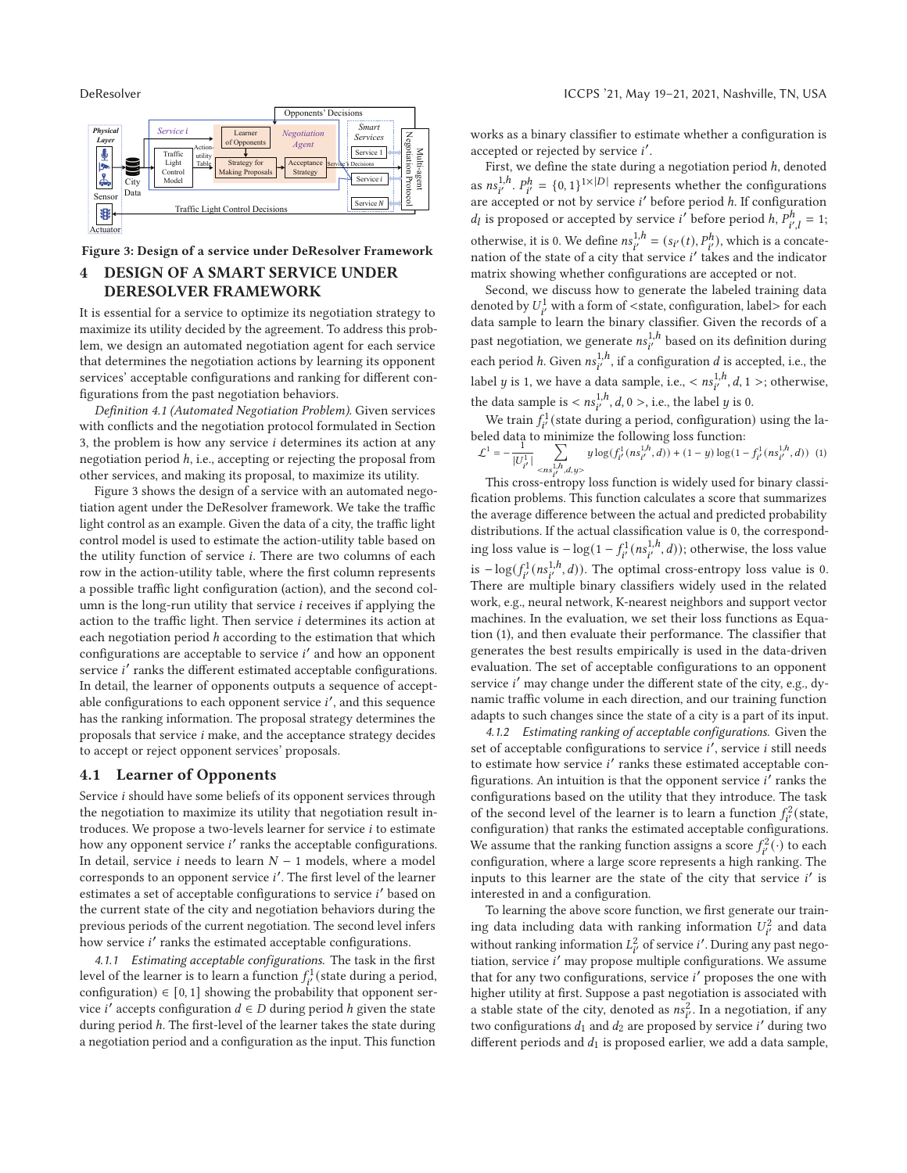

**Figure 3: Design of a service under DeResolver Framework**

# **4 DESIGN OF A SMART SERVICE UNDER DERESOLVER FRAMEWORK**

It is essential for a service to optimize its negotiation strategy to maximize its utility decided by the agreement. To address this problem, we design an automated negotiation agent for each service that determines the negotiation actions by learning its opponent services' acceptable configurations and ranking for different configurations from the past negotiation behaviors.

*Definition 4.1 (Automated Negotiation Problem).* Given services with conflicts and the negotiation protocol formulated in Section 3, the problem is how any service  $i$  determines its action at any negotiation period ℎ, i.e., accepting or rejecting the proposal from other services, and making its proposal, to maximize its utility.

Figure 3 shows the design of a service with an automated negotiation agent under the DeResolver framework. We take the traffic light control as an example. Given the data of a city, the traffic light control model is used to estimate the action-utility table based on the utility function of service *i*. There are two columns of each row in the action-utility table, where the first column represents a possible traffic light configuration (action), and the second column is the long-run utility that service  $i$  receives if applying the action to the traffic light. Then service  $i$  determines its action at each negotiation period *h* according to the estimation that which configurations are acceptable to service  $i'$  and how an opponent service *i'* ranks the different estimated acceptable configurations. In detail, the learner of opponents outputs a sequence of acceptable configurations to each opponent service  $i'$ , and this sequence has the ranking information. The proposal strategy determines the proposals that service  $i$  make, and the acceptance strategy decides to accept or reject opponent services' proposals.

#### **4.1 Learner of Opponents**

Service *i* should have some beliefs of its opponent services through the negotiation to maximize its utility that negotiation result introduces. We propose a two-levels learner for service  $i$  to estimate how any opponent service  $i'$  ranks the acceptable configurations. In detail, service  $i$  needs to learn  $N-1$  models, where a model corresponds to an opponent service i'. The first level of the learner estimates a set of acceptable configurations to service  $i'$  based on the current state of the city and negotiation behaviors during the previous periods of the current negotiation. The second level infers how service  $i'$  ranks the estimated acceptable configurations.

*4.1.1 Estimating acceptable configurations.* The task in the first level of the learner is to learn a function  $f_{i'}^1$  (state during a period, configuration)∈[0, 1] showing the probability that opponent service *i'* accepts configuration  $d \in D$  during period *h* given the state during period *h*. The first-level of the learner takes the state during a negotiation period and a configuration as the input. This function

works as a binary classifier to estimate whether a configuration is accepted or rejected by service i'.

First, we define the state during a negotiation period  $h$ , denoted as  $ns_{i'}^{1,h}$ .  $P_{i'}^h = \{0, 1\}^{1 \times |D|}$  represents whether the configurations are accepted or not by service  $i'$  before period  $h$ . If configuration  $d_l$  is proposed or accepted by service *i*' before period *h*,  $P_{i',l}^h = 1$ ; otherwise, it is 0. We define  $ns_{i'}^{1,h} = (s_{i'}(t), P_{i'}^h)$ , which is a concatenation of the state of a city that service  $i'$  takes and the indicator matrix showing whether configurations are accepted or not.

Second, we discuss how to generate the labeled training data denoted by  $U^1_{i'}$  with a form of <state, configuration, label> for each data sample to learn the binary classifier. Given the records of a past negotiation, we generate  $n_{i'}^{1,h}$  based on its definition during each period *h*. Given  $ns_{i'}^{1,h}$ , if a configuration *d* is accepted, i.e., the label *y* is 1, we have a data sample, i.e.,  $< ns_{i'}^{1,h}, d, 1 >;$  otherwise, the data sample is  $< ns_{i'}^{1,h}, d, 0>,$  i.e., the label  $y$  is 0.

We train  $f_{i'}^1$  (state during a period, configuration) using the labeled data to minimize the following loss function:

$$
\mathcal{L}^{1} = -\frac{1}{|U_{i'}^{1}|} \sum_{\substack{\mathbf{x} \in \mathbb{R}^{J}, d, \mathbf{y} > \mathbf{y} \\ \mathbf{x} \in \mathbb{R}^{J}, \mathbf{y} \neq \mathbf{y}}} y \log(f_{i'}^{1}(n s_{i'}^{1/h}, d)) + (1 - y) \log(1 - f_{i'}^{1}(n s_{i'}^{1/h}, d)) \tag{1}
$$

This cross-entropy loss function is widely used for binary classification problems. This function calculates a score that summarizes the average difference between the actual and predicted probability distributions. If the actual classification value is 0, the corresponding loss value is  $-\log(1 - f_{i'}^1(ns_{i'}^{1,h}, d))$ ; otherwise, the loss value is  $-\log(\int_{i'}^{1}(ns_{i'}^{1,h}, d))$ . The optimal cross-entropy loss value is 0. There are multiple binary classifiers widely used in the related work, e.g., neural network, K-nearest neighbors and support vector machines. In the evaluation, we set their loss functions as Equation (1), and then evaluate their performance. The classifier that generates the best results empirically is used in the data-driven evaluation. The set of acceptable configurations to an opponent service  $i'$  may change under the different state of the city, e.g., dynamic traffic volume in each direction, and our training function adapts to such changes since the state of a city is a part of its input.

*4.1.2 Estimating ranking of acceptable configurations.* Given the set of acceptable configurations to service  $i'$ , service  $i$  still needs to estimate how service  $i'$  ranks these estimated acceptable configurations. An intuition is that the opponent service  $i'$  ranks the configurations based on the utility that they introduce. The task of the second level of the learner is to learn a function  $f_{i'}^2$  (state, configuration) that ranks the estimated acceptable configurations. We assume that the ranking function assigns a score  $f_i^2(\cdot)$  to each configuration, where a large score represents a high ranking. The inputs to this learner are the state of the city that service  $i'$  is interested in and a configuration.

To learning the above score function, we first generate our training data including data with ranking information  $U_{i'}^2$  and data without ranking information  $L^2_{i'}$  of service  $i'$ . During any past negotiation, service  $i'$  may propose multiple configurations. We assume that for any two configurations, service  $i'$  proposes the one with higher utility at first. Suppose a past negotiation is associated with a stable state of the city, denoted as  $ns_{i'}^2$ . In a negotiation, if any two configurations  $d_1$  and  $d_2$  are proposed by service  $i'$  during two different periods and  $d_1$  is proposed earlier, we add a data sample,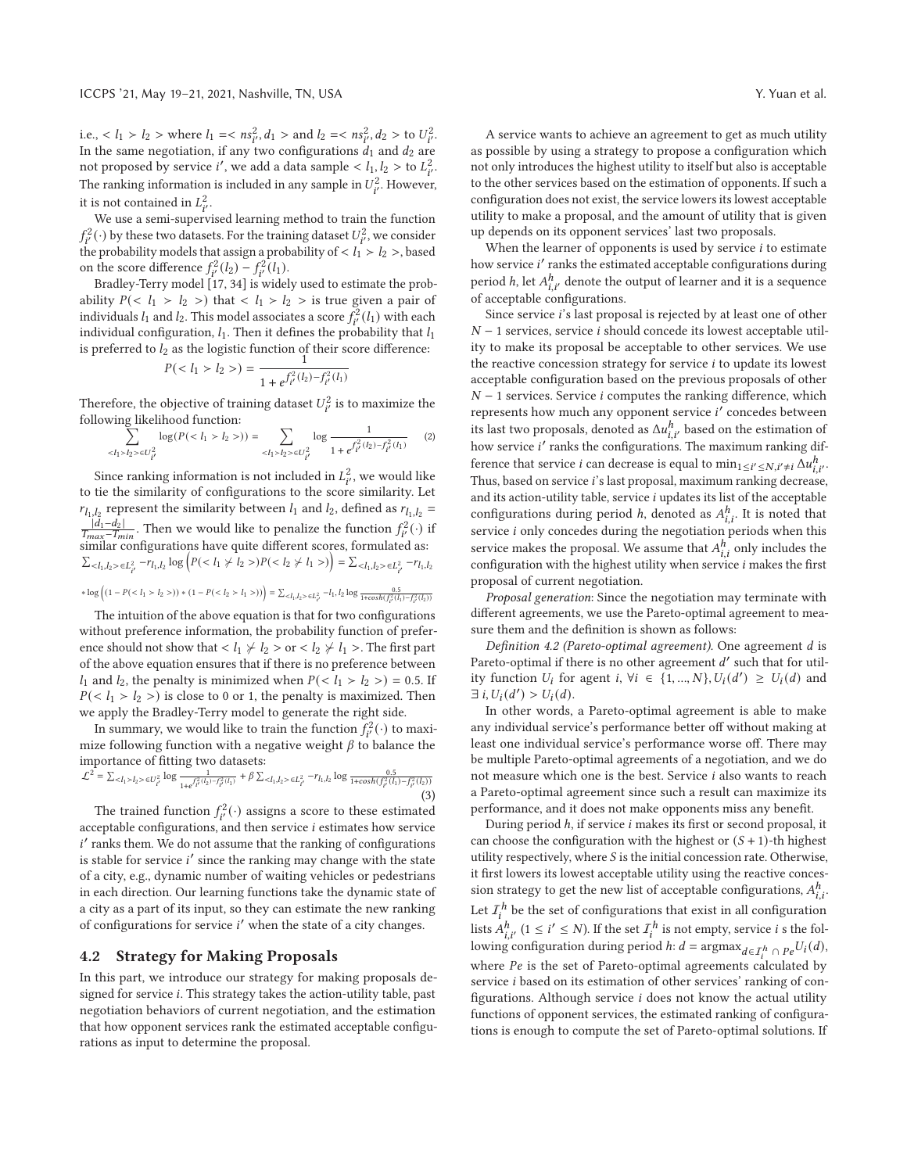i.e.,  $\langle l_1 \rangle l_2 >$  where  $l_1 = \langle ns_{i'}^2, d_1 >$  and  $l_2 = \langle ns_{i'}^2, d_2 >$  to  $U_{i'}^2$ . In the same negotiation, if any two configurations  $d_1$  and  $d_2$  are not proposed by service *i'*, we add a data sample <  $l_1, l_2 >$  to  $L^2_{i'}$ . The ranking information is included in any sample in  $U_{i'}^2$ . However, it is not contained in  $L^2_{i'}$ .

We use a semi-supervised learning method to train the function  $f_{i'}^2(\cdot)$  by these two datasets. For the training dataset  $U_{i'}^2$  , we consider the probability models that assign a probability of  $< l_1 > l_2 >$ , based on the score difference  $f_{i'}^2(l_2) - f_{i'}^2(l_1)$ .

Bradley-Terry model [17, 34] is widely used to estimate the probability  $P(\langle l_1 \rangle l_2)$  that  $\langle l_1 \rangle l_2$  is true given a pair of individuals  $l_1$  and  $l_2$ . This model associates a score  $f_{i'}^2(l_1)$  with each individual configuration,  $l_1$ . Then it defines the probability that  $l_1$ is preferred to  $l_2$  as the logistic function of their score difference:<br>  $P(< l_1 > l_2>) = \frac{1}{\sqrt{I_1^2(l_1) - I_1^2(l_2)}}$ 

$$
P(l_2>) = \frac{1}{1+e^{\int_{t'}^{2}(l_2)-f_{t'}^{2}(l_1)}}
$$

Therefore, the objective of training dataset  $U_{i'}^2$  is to maximize the following likelihood function:

$$
\sum_{\langle I_1 \rangle I_2 \rangle \in U_{i'}^2} \log(P( l_2 >)) = \sum_{\langle I_1 \rangle I_2 \rangle \in U_{i'}^2} \log \frac{1}{1 + e^{f_{i'}^2(l_2) - f_{i'}^2(l_1)}} \qquad (2)
$$

Since ranking information is not included in  $L^2_{i'}$ , we would like to tie the similarity of configurations to the score similarity. Let  $r_{l_1,l_2}$  represent the similarity between  $l_1$  and  $l_2$ , defined as  $r_{l_1,l_2}$  =  $\frac{|d_1 - d_2|}{T_{max} - T_{min}}$ . Then we would like to penalize the function  $f_i^2(\cdot)$  if  $\frac{|u|^{-\alpha}u}{T_{max}-T_{min}}$ . Then we would like to penalize the function  $f_{i'}(.)$  is<br>similar configurations have quite different scores, formulated as:  $\sum_{l} \sum_{l} \sum_{l} \sum_{l} -r_{l_1, l_2} \log \left( P(\langle l_1 \neq l_2 \rangle) P(\langle l_2 \neq l_1 \rangle) \right) = \sum_{l} \sum_{l_1, l_2 > \in L^2_{i'}} -r_{l_1, l_2}$ 

$$
* \log \left( (1 - P(I_2>)) * (1 - P(I_1>)) \right) = \sum_{ \in L^2_{t'}} -I_1, I_2 \log \frac{0.5}{1 + \cosh \left( I_1^2 (I_1) - I_2^2 (I_2) \right)}
$$

The intuition of the above equation is that for two configurations without preference information, the probability function of preference should not show that  $l_1 \nless l_2 > \text{or} < l_2 \nless l_1 >$ . The first part of the above equation ensures that if there is no preference between  $l_1$  and  $l_2$ , the penalty is minimized when  $P(\langle l_1 \rangle l_2 >) = 0.5$ . If  $P(\langle l_1 > l_2 > \rangle)$  is close to 0 or 1, the penalty is maximized. Then we apply the Bradley-Terry model to generate the right side.

In summary, we would like to train the function  $f_{i'}^2(\cdot)$  to maximize following function with a negative weight  $\beta$  to balance the importance of fitting two datasets:

$$
\mathcal{L}^{2} = \sum_{l} \sum_{l} \sum_{l} \sum_{l} \text{log} \frac{1}{1 + e^{f_{t}^{2}(l_{2}) - f_{t}^{2}(l_{1})}} + \beta \sum_{l} \sum_{l} \sum_{l} \sum_{l} \text{ or } \frac{0.5}{1 + \cosh(f_{t}^{2}(l_{1}) - f_{t}^{2}(l_{2}))}
$$
\n(3)

The trained function  $f^2_{i'}(\cdot)$  assigns a score to these estimated acceptable configurations, and then service  $i$  estimates how service  $i'$  ranks them. We do not assume that the ranking of configurations is stable for service  $i'$  since the ranking may change with the state of a city, e.g., dynamic number of waiting vehicles or pedestrians in each direction. Our learning functions take the dynamic state of a city as a part of its input, so they can estimate the new ranking of configurations for service  $i'$  when the state of a city changes.

#### **4.2 Strategy for Making Proposals**

In this part, we introduce our strategy for making proposals designed for service i. This strategy takes the action-utility table, past negotiation behaviors of current negotiation, and the estimation that how opponent services rank the estimated acceptable configurations as input to determine the proposal.

A service wants to achieve an agreement to get as much utility as possible by using a strategy to propose a configuration which not only introduces the highest utility to itself but also is acceptable to the other services based on the estimation of opponents. If such a configuration does not exist, the service lowers its lowest acceptable utility to make a proposal, and the amount of utility that is given up depends on its opponent services' last two proposals.

When the learner of opponents is used by service  $i$  to estimate how service *i*' ranks the estimated acceptable configurations during period  $h$ , let  $A_{i,i'}^h$  denote the output of learner and it is a sequence of acceptable configurations.

Since service i's last proposal is rejected by at least one of other  $N-1$  services, service *i* should concede its lowest acceptable utility to make its proposal be acceptable to other services. We use the reactive concession strategy for service  $i$  to update its lowest acceptable configuration based on the previous proposals of other  $N-1$  services. Service *i* computes the ranking difference, which represents how much any opponent service  $i'$  concedes between its last two proposals, denoted as  $\Delta u_{i,i'}^h$  based on the estimation of how service  $i^\prime$  ranks the configurations. The maximum ranking difference that service *i* can decrease is equal to  $\min_{1 \leq i' \leq N, i' \neq i} \Delta u_{i,i'}^h$ . Thus, based on service i's last proposal, maximum ranking decrease, and its action-utility table, service  $i$  updates its list of the acceptable configurations during period *h*, denoted as  $A_{i,i}^h$ . It is noted that service  $i$  only concedes during the negotiation periods when this service makes the proposal. We assume that  $A_{i,i}^h$  only includes the configuration with the highest utility when service  $i$  makes the first proposal of current negotiation.

*Proposal generation*: Since the negotiation may terminate with different agreements, we use the Pareto-optimal agreement to measure them and the definition is shown as follows:

*Definition 4.2 (Pareto-optimal agreement).* One agreement is Pareto-optimal if there is no other agreement  $d'$  such that for utility function  $U_i$  for agent  $i, \forall i \in \{1, ..., N\}, U_i(d') \geq U_i(d)$  and  $\exists i, U_i(d') > U_i(d).$ 

In other words, a Pareto-optimal agreement is able to make any individual service's performance better off without making at least one individual service's performance worse off. There may be multiple Pareto-optimal agreements of a negotiation, and we do not measure which one is the best. Service  $i$  also wants to reach a Pareto-optimal agreement since such a result can maximize its performance, and it does not make opponents miss any benefit.

During period  $h$ , if service  $i$  makes its first or second proposal, it can choose the configuration with the highest or  $(S + 1)$ -th highest utility respectively, where  $S$  is the initial concession rate. Otherwise, it first lowers its lowest acceptable utility using the reactive concession strategy to get the new list of acceptable configurations,  $A_{i,i}^h$ . Let  $I^h_i$  be the set of configurations that exist in all configuration lists  $A_{i,i'}^h$  (1  $\leq i' \leq N$ ). If the set  $\mathcal{I}_i^h$  is not empty, service  $i$  s the following configuration during period *h*:  $d = \operatorname{argmax}_{d \in \mathcal{I}_i^h} \cap \operatorname{Pe}^{U_i(d)}$ , where  $Pe$  is the set of Pareto-optimal agreements calculated by service *i* based on its estimation of other services' ranking of configurations. Although service  $i$  does not know the actual utility functions of opponent services, the estimated ranking of configurations is enough to compute the set of Pareto-optimal solutions. If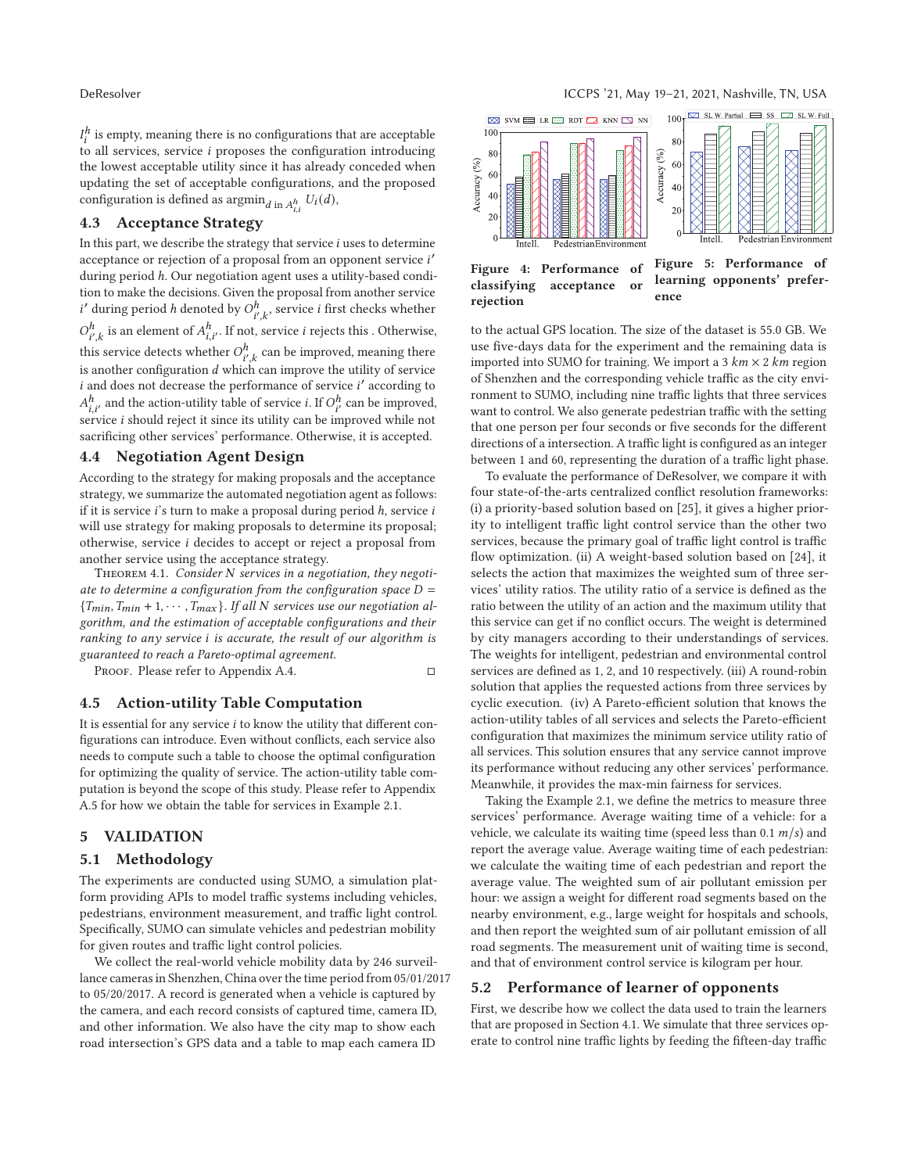$I^h_i$  is empty, meaning there is no configurations that are acceptable to all services, service  $i$  proposes the configuration introducing the lowest acceptable utility since it has already conceded when updating the set of acceptable configurations, and the proposed configuration is defined as  $\operatorname{argmin}_{d \text{ in } A_{i,i}^h} U_i(d),$ 

## **4.3 Acceptance Strategy**

In this part, we describe the strategy that service  $i$  uses to determine acceptance or rejection of a proposal from an opponent service i' during period h. Our negotiation agent uses a utility-based condition to make the decisions. Given the proposal from another service  $i'$  during period  $h$  denoted by  $O_{i',k}^h$  , service  $i$  first checks whether  $O_{i',k}^h$  is an element of  $A_{i,i'}^h$ . If not, service *i* rejects this . Otherwise, this service detects whether  $O_{i^{\prime},k}^{h}$  can be improved, meaning there is another configuration  $d$  which can improve the utility of service  $i$  and does not decrease the performance of service  $i'$  according to  $A_{i,i'}^h$  and the action-utility table of service *i*. If  $O_{i'}^h$  can be improved, service  $i$  should reject it since its utility can be improved while not sacrificing other services' performance. Otherwise, it is accepted.

# **4.4 Negotiation Agent Design**

According to the strategy for making proposals and the acceptance strategy, we summarize the automated negotiation agent as follows: if it is service  $i$ 's turn to make a proposal during period  $h$ , service  $i$ will use strategy for making proposals to determine its proposal; otherwise, service *i* decides to accept or reject a proposal from another service using the acceptance strategy.

THEOREM 4.1. Consider N services in a negotiation, they negoti*ate to determine a configuration from the configuration space*  $D =$  ${T_{min}, T_{min} + 1, \cdots, T_{max}}$ . If all N services use our negotiation al*gorithm, and the estimation of acceptable configurations and their ranking to any service is accurate, the result of our algorithm is guaranteed to reach a Pareto-optimal agreement.*

PROOF. Please refer to Appendix A.4.  $\Box$ 

#### **4.5 Action-utility Table Computation**

It is essential for any service  $i$  to know the utility that different configurations can introduce. Even without conflicts, each service also needs to compute such a table to choose the optimal configuration for optimizing the quality of service. The action-utility table computation is beyond the scope of this study. Please refer to Appendix A.5 for how we obtain the table for services in Example 2.1.

## **5 VALIDATION**

#### **5.1 Methodology**

The experiments are conducted using SUMO, a simulation platform providing APIs to model traffic systems including vehicles, pedestrians, environment measurement, and traffic light control. Specifically, SUMO can simulate vehicles and pedestrian mobility for given routes and traffic light control policies.

We collect the real-world vehicle mobility data by 246 surveillance cameras in Shenzhen, China over the time period from 05/01/2017 to 05/20/2017. A record is generated when a vehicle is captured by the camera, and each record consists of captured time, camera ID, and other information. We also have the city map to show each road intersection's GPS data and a table to map each camera ID



to the actual GPS location. The size of the dataset is 55.0 GB. We use five-days data for the experiment and the remaining data is imported into SUMO for training. We import a 3  $km \times 2 km$  region of Shenzhen and the corresponding vehicle traffic as the city environment to SUMO, including nine traffic lights that three services want to control. We also generate pedestrian traffic with the setting that one person per four seconds or five seconds for the different directions of a intersection. A traffic light is configured as an integer between 1 and 60, representing the duration of a traffic light phase.

To evaluate the performance of DeResolver, we compare it with four state-of-the-arts centralized conflict resolution frameworks: (i) a priority-based solution based on [25], it gives a higher priority to intelligent traffic light control service than the other two services, because the primary goal of traffic light control is traffic flow optimization. (ii) A weight-based solution based on [24], it selects the action that maximizes the weighted sum of three services' utility ratios. The utility ratio of a service is defined as the ratio between the utility of an action and the maximum utility that this service can get if no conflict occurs. The weight is determined by city managers according to their understandings of services. The weights for intelligent, pedestrian and environmental control services are defined as 1, 2, and 10 respectively. (iii) A round-robin solution that applies the requested actions from three services by cyclic execution. (iv) A Pareto-efficient solution that knows the action-utility tables of all services and selects the Pareto-efficient configuration that maximizes the minimum service utility ratio of all services. This solution ensures that any service cannot improve its performance without reducing any other services' performance. Meanwhile, it provides the max-min fairness for services.

Taking the Example 2.1, we define the metrics to measure three services' performance. Average waiting time of a vehicle: for a vehicle, we calculate its waiting time (speed less than 0.1  $m/s$ ) and report the average value. Average waiting time of each pedestrian: we calculate the waiting time of each pedestrian and report the average value. The weighted sum of air pollutant emission per hour: we assign a weight for different road segments based on the nearby environment, e.g., large weight for hospitals and schools, and then report the weighted sum of air pollutant emission of all road segments. The measurement unit of waiting time is second, and that of environment control service is kilogram per hour.

#### **5.2 Performance of learner of opponents**

First, we describe how we collect the data used to train the learners that are proposed in Section 4.1. We simulate that three services operate to control nine traffic lights by feeding the fifteen-day traffic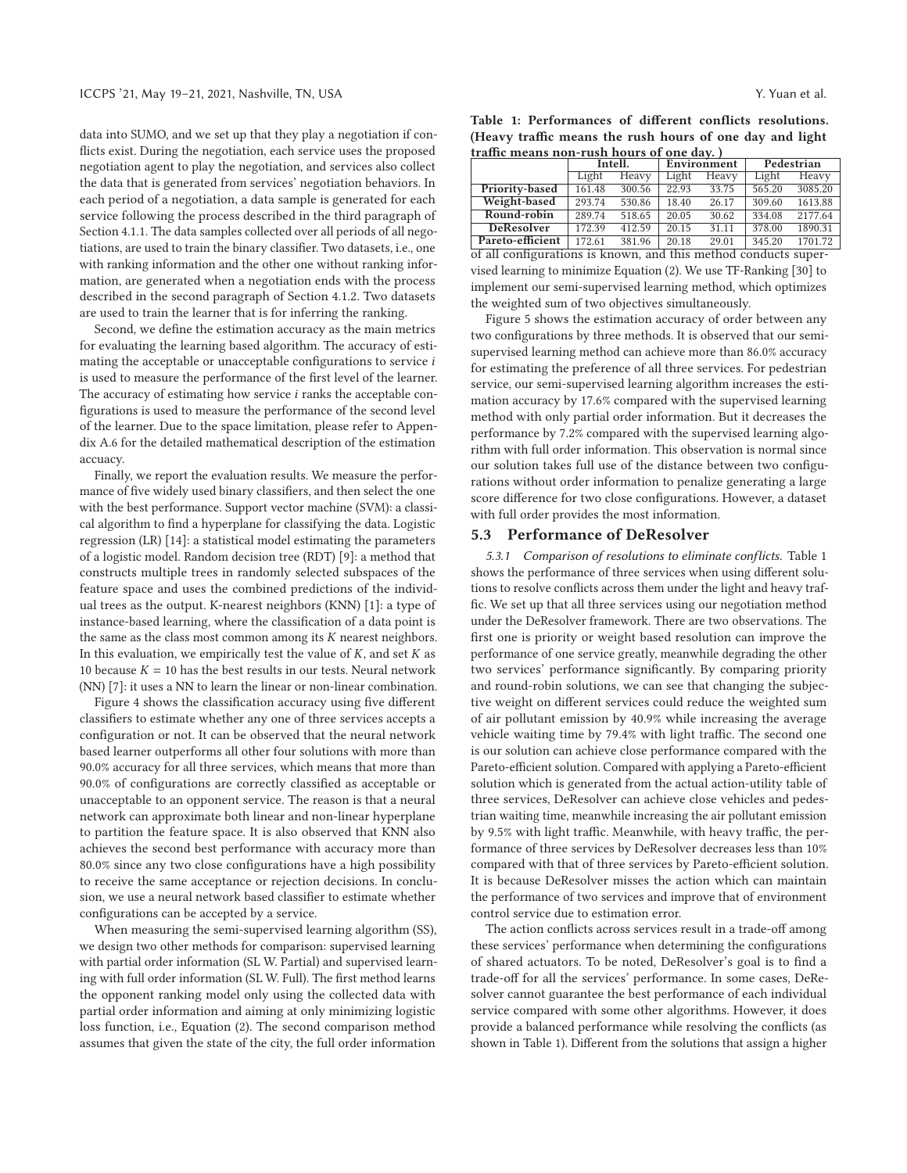data into SUMO, and we set up that they play a negotiation if conflicts exist. During the negotiation, each service uses the proposed negotiation agent to play the negotiation, and services also collect the data that is generated from services' negotiation behaviors. In each period of a negotiation, a data sample is generated for each service following the process described in the third paragraph of Section 4.1.1. The data samples collected over all periods of all negotiations, are used to train the binary classifier. Two datasets, i.e., one with ranking information and the other one without ranking information, are generated when a negotiation ends with the process described in the second paragraph of Section 4.1.2. Two datasets are used to train the learner that is for inferring the ranking.

Second, we define the estimation accuracy as the main metrics for evaluating the learning based algorithm. The accuracy of estimating the acceptable or unacceptable configurations to service  $i$ is used to measure the performance of the first level of the learner. The accuracy of estimating how service  $i$  ranks the acceptable configurations is used to measure the performance of the second level of the learner. Due to the space limitation, please refer to Appendix A.6 for the detailed mathematical description of the estimation accuacy.

Finally, we report the evaluation results. We measure the performance of five widely used binary classifiers, and then select the one with the best performance. Support vector machine (SVM): a classical algorithm to find a hyperplane for classifying the data. Logistic regression (LR) [14]: a statistical model estimating the parameters of a logistic model. Random decision tree (RDT) [9]: a method that constructs multiple trees in randomly selected subspaces of the feature space and uses the combined predictions of the individual trees as the output. K-nearest neighbors (KNN) [1]: a type of instance-based learning, where the classification of a data point is the same as the class most common among its  $K$  nearest neighbors. In this evaluation, we empirically test the value of  $K$ , and set  $K$  as 10 because  $K = 10$  has the best results in our tests. Neural network (NN) [7]: it uses a NN to learn the linear or non-linear combination.

Figure 4 shows the classification accuracy using five different classifiers to estimate whether any one of three services accepts a configuration or not. It can be observed that the neural network based learner outperforms all other four solutions with more than 90.0% accuracy for all three services, which means that more than 90.0% of configurations are correctly classified as acceptable or unacceptable to an opponent service. The reason is that a neural network can approximate both linear and non-linear hyperplane to partition the feature space. It is also observed that KNN also achieves the second best performance with accuracy more than 80.0% since any two close configurations have a high possibility to receive the same acceptance or rejection decisions. In conclusion, we use a neural network based classifier to estimate whether configurations can be accepted by a service.

When measuring the semi-supervised learning algorithm (SS), we design two other methods for comparison: supervised learning with partial order information (SL W. Partial) and supervised learning with full order information (SL W. Full). The first method learns the opponent ranking model only using the collected data with partial order information and aiming at only minimizing logistic loss function, i.e., Equation (2). The second comparison method assumes that given the state of the city, the full order information

|  | Table 1: Performances of different conflicts resolutions. |  |  |  |  |
|--|-----------------------------------------------------------|--|--|--|--|
|  | (Heavy traffic means the rush hours of one day and light  |  |  |  |  |
|  | traffic means non-rush hours of one day.)                 |  |  |  |  |

| traffic means non-rush hours of one day.)  |         |        |                 |             |            |         |  |  |  |
|--------------------------------------------|---------|--------|-----------------|-------------|------------|---------|--|--|--|
|                                            | Intell. |        |                 | Environment | Pedestrian |         |  |  |  |
|                                            | Light   | Heavy  | Light           | Heavy       | Light      | Heavy   |  |  |  |
| Priority-based                             | 161.48  | 300.56 | 22.93           | 33.75       | 565.20     | 3085.20 |  |  |  |
| Weight-based                               | 293.74  | 530.86 | 18.40           | 26.17       | 309.60     | 1613.88 |  |  |  |
| Round-robin                                | 289.74  | 518.65 | 20.05           | 30.62       | 334.08     | 2177.64 |  |  |  |
| <b>DeResolver</b>                          | 172.39  | 412.59 | 20.15           | 31.11       | 378.00     | 1890.31 |  |  |  |
| Pareto-efficient                           | 172.61  | 381.96 | 20.18           | 29.01       | 345.20     | 1701.72 |  |  |  |
| $\overline{a}$<br>$\overline{\phantom{a}}$ | - -     |        | $\cdot$ $\cdot$ |             |            |         |  |  |  |

of all configurations is known, and this method conducts supervised learning to minimize Equation (2). We use TF-Ranking [30] to implement our semi-supervised learning method, which optimizes the weighted sum of two objectives simultaneously.

Figure 5 shows the estimation accuracy of order between any two configurations by three methods. It is observed that our semisupervised learning method can achieve more than 86.0% accuracy for estimating the preference of all three services. For pedestrian service, our semi-supervised learning algorithm increases the estimation accuracy by 17.6% compared with the supervised learning method with only partial order information. But it decreases the performance by 7.2% compared with the supervised learning algorithm with full order information. This observation is normal since our solution takes full use of the distance between two configurations without order information to penalize generating a large score difference for two close configurations. However, a dataset with full order provides the most information.

#### **5.3 Performance of DeResolver**

*5.3.1 Comparison of resolutions to eliminate conflicts.* Table 1 shows the performance of three services when using different solutions to resolve conflicts across them under the light and heavy traffic. We set up that all three services using our negotiation method under the DeResolver framework. There are two observations. The first one is priority or weight based resolution can improve the performance of one service greatly, meanwhile degrading the other two services' performance significantly. By comparing priority and round-robin solutions, we can see that changing the subjective weight on different services could reduce the weighted sum of air pollutant emission by 40.9% while increasing the average vehicle waiting time by 79.4% with light traffic. The second one is our solution can achieve close performance compared with the Pareto-efficient solution. Compared with applying a Pareto-efficient solution which is generated from the actual action-utility table of three services, DeResolver can achieve close vehicles and pedestrian waiting time, meanwhile increasing the air pollutant emission by 9.5% with light traffic. Meanwhile, with heavy traffic, the performance of three services by DeResolver decreases less than 10% compared with that of three services by Pareto-efficient solution. It is because DeResolver misses the action which can maintain the performance of two services and improve that of environment control service due to estimation error.

The action conflicts across services result in a trade-off among these services' performance when determining the configurations of shared actuators. To be noted, DeResolver's goal is to find a trade-off for all the services' performance. In some cases, DeResolver cannot guarantee the best performance of each individual service compared with some other algorithms. However, it does provide a balanced performance while resolving the conflicts (as shown in Table 1). Different from the solutions that assign a higher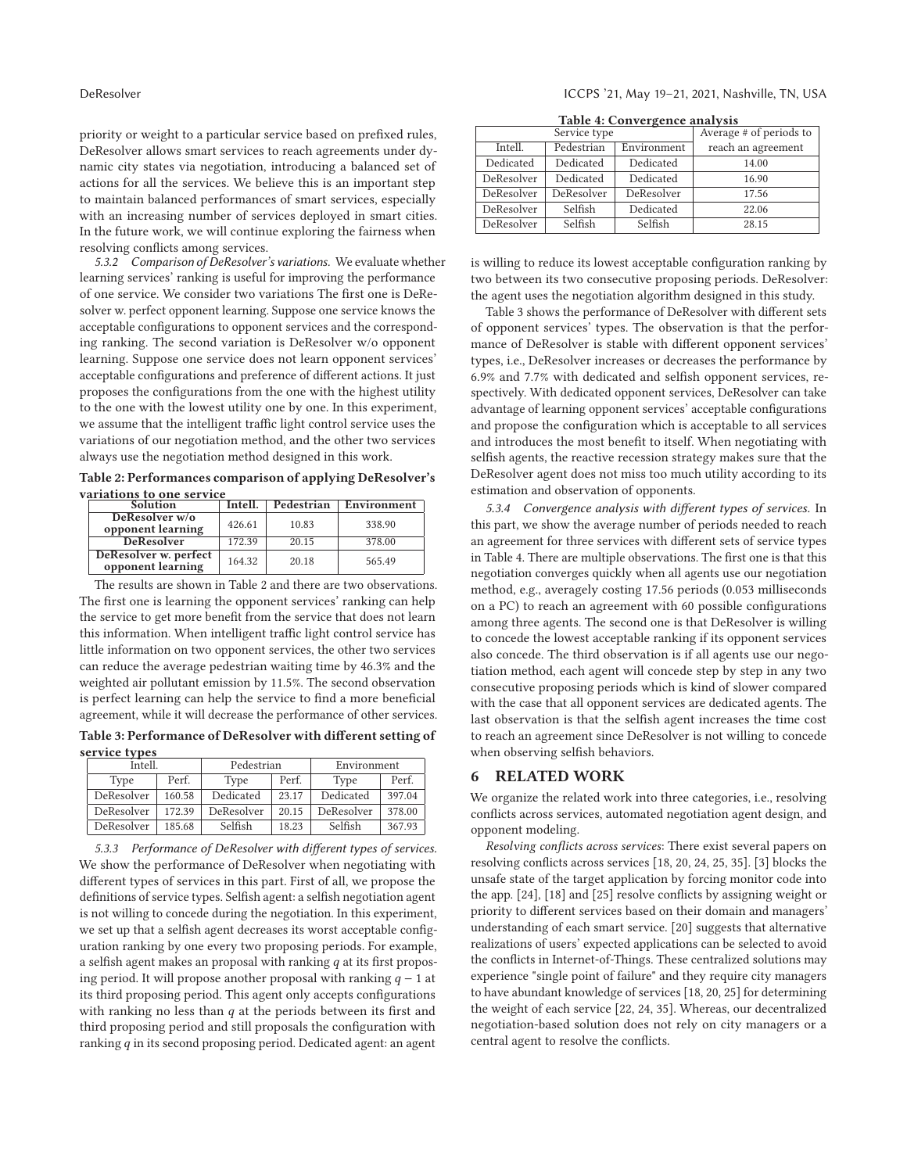priority or weight to a particular service based on prefixed rules, DeResolver allows smart services to reach agreements under dynamic city states via negotiation, introducing a balanced set of actions for all the services. We believe this is an important step to maintain balanced performances of smart services, especially with an increasing number of services deployed in smart cities. In the future work, we will continue exploring the fairness when resolving conflicts among services.

*5.3.2 Comparison of DeResolver's variations.* We evaluate whether learning services' ranking is useful for improving the performance of one service. We consider two variations The first one is DeResolver w. perfect opponent learning. Suppose one service knows the acceptable configurations to opponent services and the corresponding ranking. The second variation is DeResolver w/o opponent learning. Suppose one service does not learn opponent services' acceptable configurations and preference of different actions. It just proposes the configurations from the one with the highest utility to the one with the lowest utility one by one. In this experiment, we assume that the intelligent traffic light control service uses the variations of our negotiation method, and the other two services always use the negotiation method designed in this work.

**Table 2: Performances comparison of applying DeResolver's**

| variations to one service                  |         |            |             |  |  |  |  |
|--------------------------------------------|---------|------------|-------------|--|--|--|--|
| <b>Solution</b>                            | Intell. | Pedestrian | Environment |  |  |  |  |
| DeResolver w/o<br>opponent learning        | 426.61  | 10.83      | 338.90      |  |  |  |  |
| <b>DeResolver</b>                          | 172.39  | 20.15      | 378.00      |  |  |  |  |
| DeResolver w. perfect<br>opponent learning | 164.32  | 20.18      | 565.49      |  |  |  |  |

The results are shown in Table 2 and there are two observations. The first one is learning the opponent services' ranking can help the service to get more benefit from the service that does not learn this information. When intelligent traffic light control service has little information on two opponent services, the other two services can reduce the average pedestrian waiting time by 46.3% and the weighted air pollutant emission by 11.5%. The second observation is perfect learning can help the service to find a more beneficial agreement, while it will decrease the performance of other services.

**Table 3: Performance of DeResolver with different setting of service types**

| Íntell.       |        | Pedestrian |       | Environment |        |  |
|---------------|--------|------------|-------|-------------|--------|--|
| Perf.<br>Type |        | Type       | Perf. | Type        | Perf.  |  |
| DeResolver    | 160.58 | Dedicated  | 23.17 | Dedicated   | 397.04 |  |
| DeResolver    | 172.39 | DeResolver | 20.15 | DeResolver  | 378.00 |  |
| DeResolver    | 185.68 | Selfish    | 18.23 | Selfish     | 367.93 |  |

*5.3.3 Performance of DeResolver with different types of services.* We show the performance of DeResolver when negotiating with different types of services in this part. First of all, we propose the definitions of service types. Selfish agent: a selfish negotiation agent is not willing to concede during the negotiation. In this experiment, we set up that a selfish agent decreases its worst acceptable configuration ranking by one every two proposing periods. For example, a selfish agent makes an proposal with ranking  $q$  at its first proposing period. It will propose another proposal with ranking  $q - 1$  at its third proposing period. This agent only accepts configurations with ranking no less than  $q$  at the periods between its first and third proposing period and still proposals the configuration with ranking  $q$  in its second proposing period. Dedicated agent: an agent

| Table 4: Convergence analysis |  |  |  |  |  |  |  |
|-------------------------------|--|--|--|--|--|--|--|
|                               |  |  |  |  |  |  |  |

|            | Service type | Average # of periods to |                    |  |  |
|------------|--------------|-------------------------|--------------------|--|--|
| Intell.    | Pedestrian   | Environment             | reach an agreement |  |  |
| Dedicated  | Dedicated    | Dedicated               | 14.00              |  |  |
| DeResolver | Dedicated    | Dedicated               | 16.90              |  |  |
| DeResolver | DeResolver   | DeResolver              | 17.56              |  |  |
| DeResolver | Selfish      | Dedicated               | 22.06              |  |  |
| DeResolver | Selfish      | Selfish                 | 28.15              |  |  |

is willing to reduce its lowest acceptable configuration ranking by two between its two consecutive proposing periods. DeResolver: the agent uses the negotiation algorithm designed in this study.

Table 3 shows the performance of DeResolver with different sets of opponent services' types. The observation is that the performance of DeResolver is stable with different opponent services' types, i.e., DeResolver increases or decreases the performance by 6.9% and 7.7% with dedicated and selfish opponent services, respectively. With dedicated opponent services, DeResolver can take advantage of learning opponent services' acceptable configurations and propose the configuration which is acceptable to all services and introduces the most benefit to itself. When negotiating with selfish agents, the reactive recession strategy makes sure that the DeResolver agent does not miss too much utility according to its estimation and observation of opponents.

*5.3.4 Convergence analysis with different types of services.* In this part, we show the average number of periods needed to reach an agreement for three services with different sets of service types in Table 4. There are multiple observations. The first one is that this negotiation converges quickly when all agents use our negotiation method, e.g., averagely costing 17.56 periods (0.053 milliseconds on a PC) to reach an agreement with 60 possible configurations among three agents. The second one is that DeResolver is willing to concede the lowest acceptable ranking if its opponent services also concede. The third observation is if all agents use our negotiation method, each agent will concede step by step in any two consecutive proposing periods which is kind of slower compared with the case that all opponent services are dedicated agents. The last observation is that the selfish agent increases the time cost to reach an agreement since DeResolver is not willing to concede when observing selfish behaviors.

## **6 RELATED WORK**

We organize the related work into three categories, i.e., resolving conflicts across services, automated negotiation agent design, and opponent modeling.

*Resolving conflicts across services*: There exist several papers on resolving conflicts across services [18, 20, 24, 25, 35]. [3] blocks the unsafe state of the target application by forcing monitor code into the app. [24], [18] and [25] resolve conflicts by assigning weight or priority to different services based on their domain and managers' understanding of each smart service. [20] suggests that alternative realizations of users' expected applications can be selected to avoid the conflicts in Internet-of-Things. These centralized solutions may experience "single point of failure" and they require city managers to have abundant knowledge of services [18, 20, 25] for determining the weight of each service [22, 24, 35]. Whereas, our decentralized negotiation-based solution does not rely on city managers or a central agent to resolve the conflicts.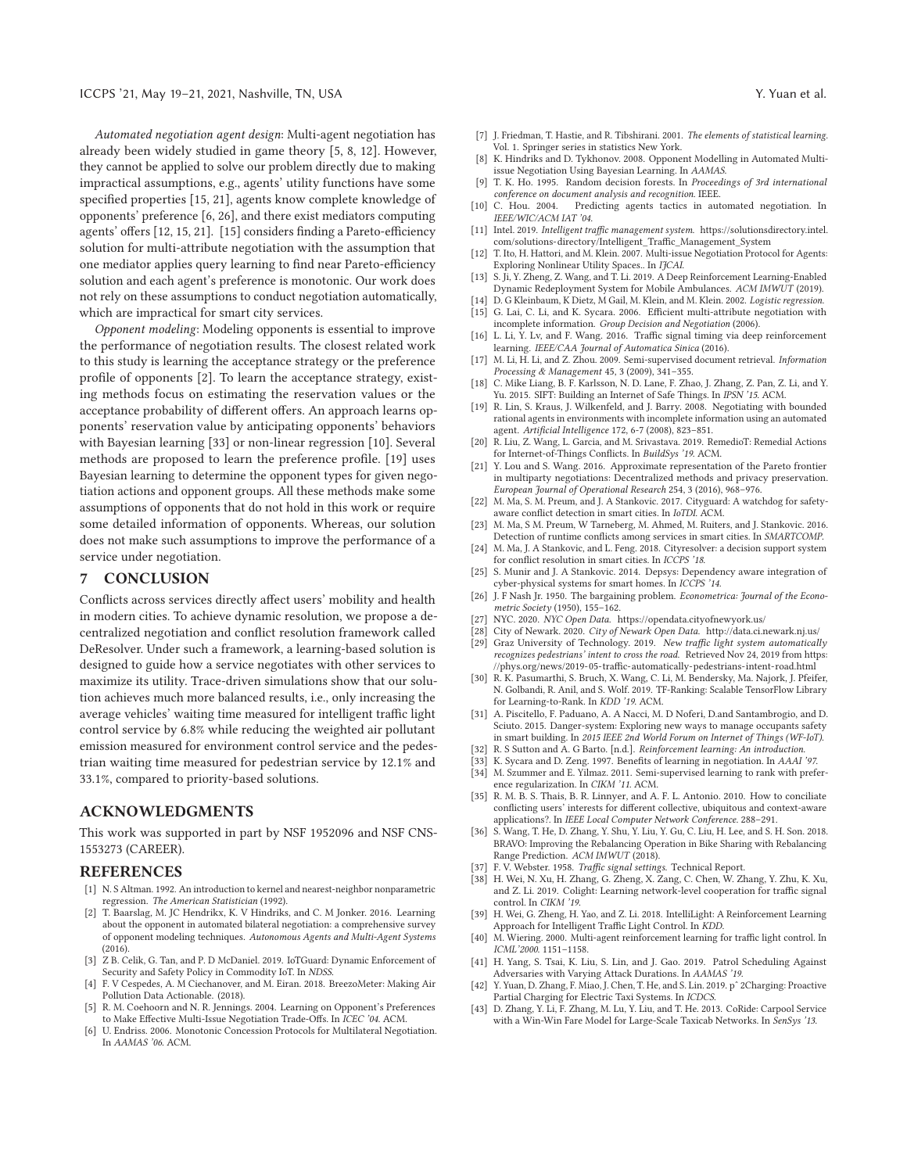*Automated negotiation agent design*: Multi-agent negotiation has already been widely studied in game theory [5, 8, 12]. However, they cannot be applied to solve our problem directly due to making impractical assumptions, e.g., agents' utility functions have some specified properties [15, 21], agents know complete knowledge of opponents' preference [6, 26], and there exist mediators computing agents' offers [12, 15, 21]. [15] considers finding a Pareto-efficiency solution for multi-attribute negotiation with the assumption that one mediator applies query learning to find near Pareto-efficiency solution and each agent's preference is monotonic. Our work does not rely on these assumptions to conduct negotiation automatically, which are impractical for smart city services.

*Opponent modeling*: Modeling opponents is essential to improve the performance of negotiation results. The closest related work to this study is learning the acceptance strategy or the preference profile of opponents [2]. To learn the acceptance strategy, existing methods focus on estimating the reservation values or the acceptance probability of different offers. An approach learns opponents' reservation value by anticipating opponents' behaviors with Bayesian learning [33] or non-linear regression [10]. Several methods are proposed to learn the preference profile. [19] uses Bayesian learning to determine the opponent types for given negotiation actions and opponent groups. All these methods make some assumptions of opponents that do not hold in this work or require some detailed information of opponents. Whereas, our solution does not make such assumptions to improve the performance of a service under negotiation.

## **7 CONCLUSION**

Conflicts across services directly affect users' mobility and health in modern cities. To achieve dynamic resolution, we propose a decentralized negotiation and conflict resolution framework called DeResolver. Under such a framework, a learning-based solution is designed to guide how a service negotiates with other services to maximize its utility. Trace-driven simulations show that our solution achieves much more balanced results, i.e., only increasing the average vehicles' waiting time measured for intelligent traffic light control service by 6.8% while reducing the weighted air pollutant emission measured for environment control service and the pedestrian waiting time measured for pedestrian service by 12.1% and 33.1%, compared to priority-based solutions.

#### **ACKNOWLEDGMENTS**

This work was supported in part by NSF 1952096 and NSF CNS-1553273 (CAREER).

#### **REFERENCES**

- [1] N. S Altman. 1992. An introduction to kernel and nearest-neighbor nonparametric regression. *The American Statistician* (1992).
- [2] T. Baarslag, M. JC Hendrikx, K. V Hindriks, and C. M Jonker. 2016. Learning about the opponent in automated bilateral negotiation: a comprehensive survey of opponent modeling techniques. *Autonomous Agents and Multi-Agent Systems* (2016).
- [3] Z B. Celik, G. Tan, and P. D McDaniel. 2019. IoTGuard: Dynamic Enforcement of Security and Safety Policy in Commodity IoT. In *NDSS*.
- [4] F. V Cespedes, A. M Ciechanover, and M. Eiran. 2018. BreezoMeter: Making Air Pollution Data Actionable. (2018).
- [5] R. M. Coehoorn and N. R. Jennings. 2004. Learning on Opponent's Preferences to Make Effective Multi-Issue Negotiation Trade-Offs. In *ICEC '04*. ACM.
- [6] U. Endriss. 2006. Monotonic Concession Protocols for Multilateral Negotiation. In *AAMAS '06*. ACM.
- [7] J. Friedman, T. Hastie, and R. Tibshirani. 2001. *The elements of statistical learning*. Vol. 1. Springer series in statistics New York.
- [8] K. Hindriks and D. Tykhonov. 2008. Opponent Modelling in Automated Multiissue Negotiation Using Bayesian Learning. In *AAMAS*.
- [9] T. K. Ho. 1995. Random decision forests. In *Proceedings of 3rd international conference on document analysis and recognition*. IEEE.
- [10] C. Hou. 2004. Predicting agents tactics in automated negotiation. In *IEEE/WIC/ACM IAT '04*.
- [11] Intel. 2019. *Intelligent traffic management system*. https://solutionsdirectory.intel. com/solutions-directory/Intelligent\_Traffic\_Management\_System
- [12] T. Ito, H. Hattori, and M. Klein. 2007. Multi-issue Negotiation Protocol for Agents: Exploring Nonlinear Utility Spaces.. In *IJCAI*.
- [13] S. Ji, Y. Zheng, Z. Wang, and T. Li. 2019. A Deep Reinforcement Learning-Enabled Dynamic Redeployment System for Mobile Ambulances. *ACM IMWUT* (2019).
- [14] D. G Kleinbaum, K Dietz, M Gail, M. Klein, and M. Klein. 2002. *Logistic regression*. [15] G. Lai, C. Li, and K. Sycara. 2006. Efficient multi-attribute negotiation with
- incomplete information. *Group Decision and Negotiation* (2006). [16] L. Li, Y. Lv, and F. Wang. 2016. Traffic signal timing via deep reinforcement
- learning. *IEEE/CAA Journal of Automatica Sinica* (2016). [17] M. Li, H. Li, and Z. Zhou. 2009. Semi-supervised document retrieval. *Information*
- *Processing & Management* 45, 3 (2009), 341–355. [18] C. Mike Liang, B. F. Karlsson, N. D. Lane, F. Zhao, J. Zhang, Z. Pan, Z. Li, and Y.
- Yu. 2015. SIFT: Building an Internet of Safe Things. In *IPSN '15*. ACM.
- [19] R. Lin, S. Kraus, J. Wilkenfeld, and J. Barry. 2008. Negotiating with bounded rational agents in environments with incomplete information using an automated agent. *Artificial Intelligence* 172, 6-7 (2008), 823–851.
- [20] R. Liu, Z. Wang, L. Garcia, and M. Srivastava. 2019. RemedioT: Remedial Actions for Internet-of-Things Conflicts. In *BuildSys '19*. ACM.
- Y. Lou and S. Wang. 2016. Approximate representation of the Pareto frontier in multiparty negotiations: Decentralized methods and privacy preservation. *European Journal of Operational Research* 254, 3 (2016), 968–976.
- [22] M. Ma, S. M. Preum, and J. A Stankovic. 2017. Cityguard: A watchdog for safetyaware conflict detection in smart cities. In *IoTDI*. ACM.
- [23] M. Ma, S M. Preum, W Tarneberg, M. Ahmed, M. Ruiters, and J. Stankovic. 2016. Detection of runtime conflicts among services in smart cities. In *SMARTCOMP*.
- [24] M. Ma, J. A Stankovic, and L. Feng. 2018. Cityresolver: a decision support system for conflict resolution in smart cities. In *ICCPS '18*.
- [25] S. Munir and J. A Stankovic. 2014. Depsys: Dependency aware integration of cyber-physical systems for smart homes. In *ICCPS '14*.
- [26] J. F Nash Jr. 1950. The bargaining problem. *Econometrica: Journal of the Econometric Society* (1950), 155–162.
- [27] NYC. 2020. *NYC Open Data*. https://opendata.cityofnewyork.us/
- [28] City of Newark. 2020. *City of Newark Open Data*. http://data.ci.newark.nj.us/
- [29] Graz University of Technology. 2019. *New traffic light system automatically recognizes pedestrians' intent to cross the road*. Retrieved Nov 24, 2019 from https:  $\mu/\rho_{\rm phys.}$ org $\mu$ news/2019-05-traffic-automatically-pedestrians-intent-road.html
- [30] R. K. Pasumarthi, S. Bruch, X. Wang, C. Li, M. Bendersky, Ma. Najork, J. Pfeifer, N. Golbandi, R. Anil, and S. Wolf. 2019. TF-Ranking: Scalable TensorFlow Library for Learning-to-Rank. In *KDD '19*. ACM.
- [31] A. Piscitello, F. Paduano, A. A Nacci, M. D Noferi, D.and Santambrogio, and D. Sciuto. 2015. Danger-system: Exploring new ways to manage occupants safety in smart building. In *2015 IEEE 2nd World Forum on Internet of Things (WF-IoT)*.
- [32] R. S Sutton and A. G Barto. [n.d.]. *Reinforcement learning: An introduction*.
- [33] K. Sycara and D. Zeng. 1997. Benefits of learning in negotiation. In *AAAI '97*.
- [34] M. Szummer and E. Yilmaz. 2011. Semi-supervised learning to rank with prefer-
- ence regularization. In *CIKM '11*. ACM. [35] R. M. B. S. Thais, B. R. Linnyer, and A. F. L. Antonio. 2010. How to conciliate conflicting users' interests for different collective, ubiquitous and context-aware applications?. In *IEEE Local Computer Network Conference*. 288–291.
- [36] S. Wang, T. He, D. Zhang, Y. Shu, Y. Liu, Y. Gu, C. Liu, H. Lee, and S. H. Son. 2018. BRAVO: Improving the Rebalancing Operation in Bike Sharing with Rebalancing Range Prediction. *ACM IMWUT* (2018).
- [37] F. V. Webster. 1958. *Traffic signal settings*. Technical Report.
- [38] H. Wei, N. Xu, H. Zhang, G. Zheng, X. Zang, C. Chen, W. Zhang, Y. Zhu, K. Xu, and Z. Li. 2019. Colight: Learning network-level cooperation for traffic signal control. In *CIKM '19*.
- [39] H. Wei, G. Zheng, H. Yao, and Z. Li. 2018. IntelliLight: A Reinforcement Learning Approach for Intelligent Traffic Light Control. In *KDD*.
- [40] M. Wiering. 2000. Multi-agent reinforcement learning for traffic light control. In *ICML'2000*. 1151–1158.
- [41] H. Yang, S. Tsai, K. Liu, S. Lin, and J. Gao. 2019. Patrol Scheduling Against Adversaries with Varying Attack Durations. In *AAMAS '19*.
- [42] Y. Yuan, D. Zhang, F. Miao, J. Chen, T. He, and S. Lin. 2019. pˆ 2Charging: Proactive Partial Charging for Electric Taxi Systems. In *ICDCS*.
- D. Zhang, Y. Li, F. Zhang, M. Lu, Y. Liu, and T. He. 2013. CoRide: Carpool Service with a Win-Win Fare Model for Large-Scale Taxicab Networks. In *SenSys '13*.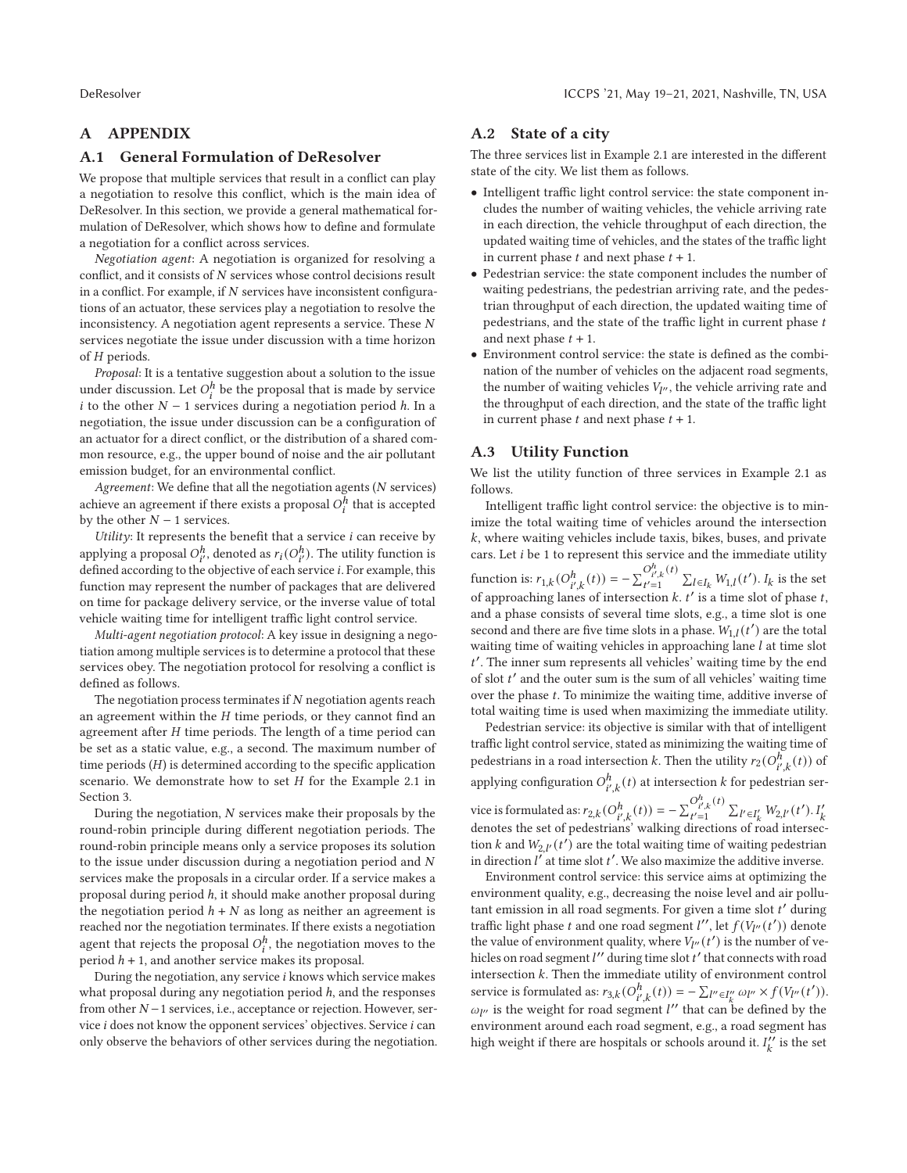# **A APPENDIX**

#### **A.1 General Formulation of DeResolver**

We propose that multiple services that result in a conflict can play a negotiation to resolve this conflict, which is the main idea of DeResolver. In this section, we provide a general mathematical formulation of DeResolver, which shows how to define and formulate a negotiation for a conflict across services.

*Negotiation agent*: A negotiation is organized for resolving a conflict, and it consists of  $N$  services whose control decisions result in a conflict. For example, if  $N$  services have inconsistent configurations of an actuator, these services play a negotiation to resolve the inconsistency. A negotiation agent represents a service. These  $N$ services negotiate the issue under discussion with a time horizon of  $H$  periods.

*Proposal*: It is a tentative suggestion about a solution to the issue under discussion. Let  $O_i^h$  be the proposal that is made by service i to the other  $N - 1$  services during a negotiation period  $h$ . In a negotiation, the issue under discussion can be a configuration of an actuator for a direct conflict, or the distribution of a shared common resource, e.g., the upper bound of noise and the air pollutant emission budget, for an environmental conflict.

Agreement: We define that all the negotiation agents (N services) achieve an agreement if there exists a proposal  $O_i^h$  that is accepted by the other  $N - 1$  services.

Utility: It represents the benefit that a service  $i$  can receive by applying a proposal  $O_{i'}^h$ , denoted as  $r_i(O_{i'}^h)$ . The utility function is defined according to the objective of each service *i*. For example, this function may represent the number of packages that are delivered on time for package delivery service, or the inverse value of total vehicle waiting time for intelligent traffic light control service.

*Multi-agent negotiation protocol*: A key issue in designing a negotiation among multiple services is to determine a protocol that these services obey. The negotiation protocol for resolving a conflict is defined as follows.

The negotiation process terminates if  $N$  negotiation agents reach an agreement within the  $H$  time periods, or they cannot find an agreement after  $H$  time periods. The length of a time period can be set as a static value, e.g., a second. The maximum number of time periods  $(H)$  is determined according to the specific application scenario. We demonstrate how to set  $H$  for the Example 2.1 in Section 3.

During the negotiation,  $N$  services make their proposals by the round-robin principle during different negotiation periods. The round-robin principle means only a service proposes its solution to the issue under discussion during a negotiation period and  $N$ services make the proposals in a circular order. If a service makes a proposal during period *h*, it should make another proposal during the negotiation period  $h + N$  as long as neither an agreement is reached nor the negotiation terminates. If there exists a negotiation agent that rejects the proposal  $O_i^h$ , the negotiation moves to the period  $h + 1$ , and another service makes its proposal.

During the negotiation, any service *i* knows which service makes what proposal during any negotiation period  $h$ , and the responses from other  $N-1$  services, i.e., acceptance or rejection. However, service  $i$  does not know the opponent services' objectives. Service  $i$  can only observe the behaviors of other services during the negotiation.

## **A.2 State of a city**

The three services list in Example 2.1 are interested in the different state of the city. We list them as follows.

- Intelligent traffic light control service: the state component includes the number of waiting vehicles, the vehicle arriving rate in each direction, the vehicle throughput of each direction, the updated waiting time of vehicles, and the states of the traffic light in current phase  $t$  and next phase  $t + 1$ .
- Pedestrian service: the state component includes the number of waiting pedestrians, the pedestrian arriving rate, and the pedestrian throughput of each direction, the updated waiting time of pedestrians, and the state of the traffic light in current phase  $t$ and next phase  $t + 1$ .
- Environment control service: the state is defined as the combination of the number of vehicles on the adjacent road segments, the number of waiting vehicles  $V_{I''}$ , the vehicle arriving rate and the throughput of each direction, and the state of the traffic light in current phase  $t$  and next phase  $t + 1$ .

# **A.3 Utility Function**

We list the utility function of three services in Example 2.1 as follows.

Intelligent traffic light control service: the objective is to minimize the total waiting time of vehicles around the intersection  $k$ , where waiting vehicles include taxis, bikes, buses, and private cars. Let  $i$  be 1 to represent this service and the immediate utility function is:  $r_{1,k}(O_{i',k}^{h}(t)) = -\sum_{t'=1}^{O_{i',k}^{h}(t)} \sum_{l \in I_k} W_{1,l}(t').$  I<sub>k</sub> is the set of approaching lanes of intersection  $k$ .  $t'$  is a time slot of phase  $t$ , and a phase consists of several time slots, e.g., a time slot is one second and there are five time slots in a phase.  $W_{1,l}(t^{\prime})$  are the total waiting time of waiting vehicles in approaching lane  $l$  at time slot  $t'$ . The inner sum represents all vehicles' waiting time by the end of slot  $t'$  and the outer sum is the sum of all vehicles' waiting time over the phase  $t$ . To minimize the waiting time, additive inverse of total waiting time is used when maximizing the immediate utility.

Pedestrian service: its objective is similar with that of intelligent traffic light control service, stated as minimizing the waiting time of pedestrians in a road intersection  $k$ . Then the utility  $r_2(O^h_{i',k}(t))$  of applying configuration  $O_{i',k}^h(t)$  at intersection  $k$  for pedestrian ser-

vice is formulated as:  $r_{2,k}(O_{i',k}^h(t)) = -\sum_{t'=1}^{O_{i',k}^h(t')}\sum_{l'\in I'_k}W_{2,l'}(t').$   $I'_k$  denotes the set of pedestrians' walking directions of road intersection  $k$  and  $W_{2,l'}(t')$  are the total waiting time of waiting pedestrian in direction  $l'$  at time slot  $t'$ . We also maximize the additive inverse.

Environment control service: this service aims at optimizing the environment quality, e.g., decreasing the noise level and air pollutant emission in all road segments. For given a time slot  $t'$  during traffic light phase  $t$  and one road segment  $l''$ , let  $f(V_{l''}(t'))$  denote the value of environment quality, where  $V_{l}$  (*t'*) is the number of vehicles on road segment  $l''$  during time slot  $t'$  that connects with road intersection  $k$ . Then the immediate utility of environment control service is formulated as:  $r_{3,k}(O_{i',k}^h(t)) = -\sum_{l'' \in I''_k} \omega_{l''} \times f(V_{l''}(t')).$  $\omega_{l''}$  is the weight for road segment  $l''$  that can be defined by the environment around each road segment, e.g., a road segment has high weight if there are hospitals or schools around it.  $I_k''$  is the set